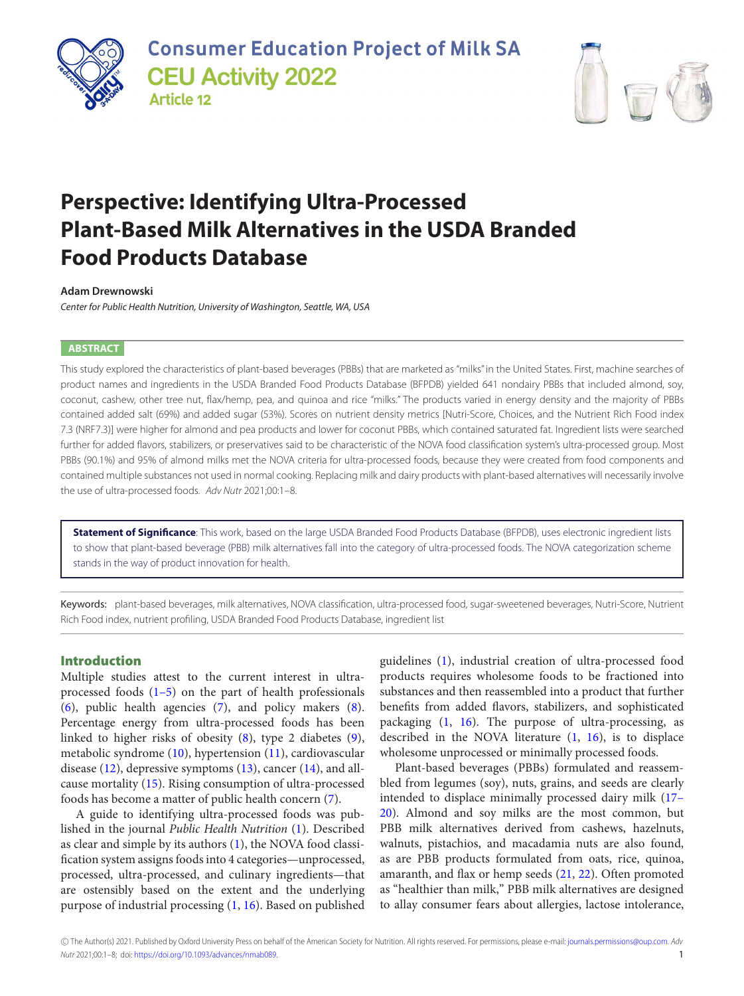

**Consumer Education Project of Milk SA CEU Activity 2022 Article 12** 



# **Perspective: Identifying Ultra-Processed Plant-Based Milk Alternatives in the USDA Branded Food Products Database**

#### **Adam Drewnowski**

Center for Public Health Nutrition, University of Washington, Seattle, WA, USA

#### **ABSTRACT**

This study explored the characteristics of plant-based beverages (PBBs) that are marketed as "milks" in the United States. First, machine searches of product names and ingredients in the USDA Branded Food Products Database (BFPDB) yielded 641 nondairy PBBs that included almond, soy, coconut, cashew, other tree nut, flax/hemp, pea, and quinoa and rice "milks." The products varied in energy density and the majority of PBBs contained added salt (69%) and added sugar (53%). Scores on nutrient density metrics [Nutri-Score, Choices, and the Nutrient Rich Food index 7.3 (NRF7.3)] were higher for almond and pea products and lower for coconut PBBs, which contained saturated fat. Ingredient lists were searched further for added flavors, stabilizers, or preservatives said to be characteristic of the NOVA food classification system's ultra-processed group. Most PBBs (90.1%) and 95% of almond milks met the NOVA criteria for ultra-processed foods, because they were created from food components and contained multiple substances not used in normal cooking. Replacing milk and dairy products with plant-based alternatives will necessarily involve the use of ultra-processed foods. Adv Nutr 2021;00:1–8.

**Statement of Significance**: This work, based on the large USDA Branded Food Products Database (BFPDB), uses electronic ingredient lists to show that plant-based beverage (PBB) milk alternatives fall into the category of ultra-processed foods. The NOVA categorization scheme stands in the way of product innovation for health.

Keywords: plant-based beverages, milk alternatives, NOVA classification, ultra-processed food, sugar-sweetened beverages, Nutri-Score, Nutrient Rich Food index, nutrient profiling, USDA Branded Food Products Database, ingredient list

## **Introduction**

Multiple studies attest to the current interest in ultraprocessed foods  $(1-5)$  on the part of health professionals [\(6\)](#page-6-1), public health agencies [\(7\)](#page-6-2), and policy makers [\(8\)](#page-6-3). Percentage energy from ultra-processed foods has been linked to higher risks of obesity [\(8\)](#page-6-3), type 2 diabetes [\(9\)](#page-6-4), metabolic syndrome [\(10\)](#page-6-5), hypertension [\(11\)](#page-6-6), cardiovascular disease [\(12\)](#page-6-7), depressive symptoms [\(13\)](#page-6-8), cancer [\(14\)](#page-6-9), and allcause mortality [\(15\)](#page-6-10). Rising consumption of ultra-processed foods has become a matter of public health concern [\(7\)](#page-6-2).

A guide to identifying ultra-processed foods was published in the journal *Public Health Nutrition* [\(1\)](#page-6-0). Described as clear and simple by its authors [\(1\)](#page-6-0), the NOVA food classification system assigns foods into 4 categories—unprocessed, processed, ultra-processed, and culinary ingredients—that are ostensibly based on the extent and the underlying purpose of industrial processing [\(1,](#page-6-0) [16\)](#page-6-11). Based on published guidelines [\(1\)](#page-6-0), industrial creation of ultra-processed food products requires wholesome foods to be fractioned into substances and then reassembled into a product that further benefits from added flavors, stabilizers, and sophisticated packaging [\(1,](#page-6-0) [16\)](#page-6-11). The purpose of ultra-processing, as described in the NOVA literature [\(1,](#page-6-0) [16\)](#page-6-11), is to displace wholesome unprocessed or minimally processed foods.

Plant-based beverages (PBBs) formulated and reassembled from legumes (soy), nuts, grains, and seeds are clearly intended to displace minimally processed dairy milk (17– [20\). Almond and soy milks are the most common, but](#page-6-12) PBB milk alternatives derived from cashews, hazelnuts, walnuts, pistachios, and macadamia nuts are also found, as are PBB products formulated from oats, rice, quinoa, amaranth, and flax or hemp seeds [\(21,](#page-6-13) [22\)](#page-6-14). Often promoted as "healthier than milk," PBB milk alternatives are designed to allay consumer fears about allergies, lactose intolerance,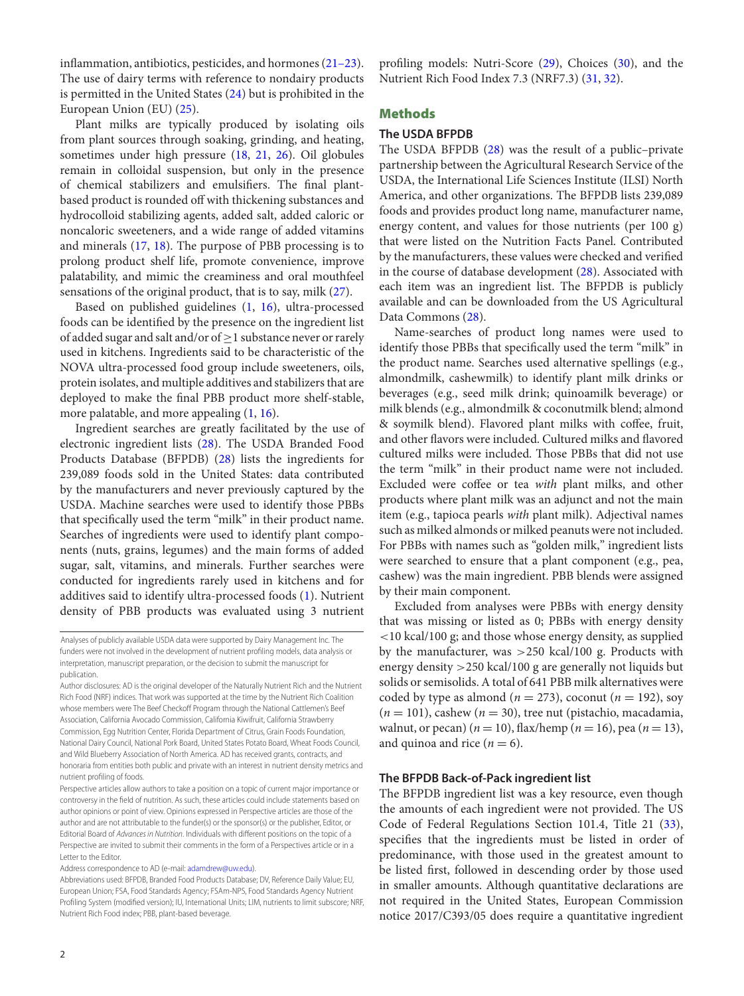inflammation, antibiotics, pesticides, and hormones [\(21–23\)](#page-6-13). The use of dairy terms with reference to nondairy products is permitted in the United States [\(24\)](#page-6-15) but is prohibited in the European Union (EU) [\(25\)](#page-6-16).

Plant milks are typically produced by isolating oils from plant sources through soaking, grinding, and heating, sometimes under high pressure [\(18,](#page-6-17) [21,](#page-6-13) [26\)](#page-6-18). Oil globules remain in colloidal suspension, but only in the presence of chemical stabilizers and emulsifiers. The final plantbased product is rounded off with thickening substances and hydrocolloid stabilizing agents, added salt, added caloric or noncaloric sweeteners, and a wide range of added vitamins and minerals [\(17,](#page-6-12) [18\)](#page-6-17). The purpose of PBB processing is to prolong product shelf life, promote convenience, improve palatability, and mimic the creaminess and oral mouthfeel sensations of the original product, that is to say, milk [\(27\)](#page-6-19).

Based on published guidelines [\(1,](#page-6-0) [16\)](#page-6-11), ultra-processed foods can be identified by the presence on the ingredient list of added sugar and salt and/or of  $\geq$  1 substance never or rarely used in kitchens. Ingredients said to be characteristic of the NOVA ultra-processed food group include sweeteners, oils, protein isolates, and multiple additives and stabilizers that are deployed to make the final PBB product more shelf-stable, more palatable, and more appealing [\(1,](#page-6-0) [16\)](#page-6-11).

Ingredient searches are greatly facilitated by the use of electronic ingredient lists [\(28\)](#page-6-20). The USDA Branded Food Products Database (BFPDB) [\(28\)](#page-6-20) lists the ingredients for 239,089 foods sold in the United States: data contributed by the manufacturers and never previously captured by the USDA. Machine searches were used to identify those PBBs that specifically used the term "milk" in their product name. Searches of ingredients were used to identify plant components (nuts, grains, legumes) and the main forms of added sugar, salt, vitamins, and minerals. Further searches were conducted for ingredients rarely used in kitchens and for additives said to identify ultra-processed foods [\(1\)](#page-6-0). Nutrient density of PBB products was evaluated using 3 nutrient

Address correspondence to AD (e-mail: [adamdrew@uw.edu\)](mailto:adamdrew@uw.edu).

profiling models: Nutri-Score [\(29\)](#page-6-21), Choices [\(30\)](#page-6-22), and the Nutrient Rich Food Index 7.3 (NRF7.3) [\(31,](#page-6-23) [32\)](#page-6-24).

# **Methods**

# **The USDA BFPDB**

The USDA BFPDB [\(28\)](#page-6-20) was the result of a public–private partnership between the Agricultural Research Service of the USDA, the International Life Sciences Institute (ILSI) North America, and other organizations. The BFPDB lists 239,089 foods and provides product long name, manufacturer name, energy content, and values for those nutrients (per 100 g) that were listed on the Nutrition Facts Panel. Contributed by the manufacturers, these values were checked and verified in the course of database development [\(28\)](#page-6-20). Associated with each item was an ingredient list. The BFPDB is publicly available and can be downloaded from the US Agricultural Data Commons [\(28\)](#page-6-20).

Name-searches of product long names were used to identify those PBBs that specifically used the term "milk" in the product name. Searches used alternative spellings (e.g., almondmilk, cashewmilk) to identify plant milk drinks or beverages (e.g., seed milk drink; quinoamilk beverage) or milk blends (e.g., almondmilk & coconutmilk blend; almond & soymilk blend). Flavored plant milks with coffee, fruit, and other flavors were included. Cultured milks and flavored cultured milks were included. Those PBBs that did not use the term "milk" in their product name were not included. Excluded were coffee or tea *with* plant milks, and other products where plant milk was an adjunct and not the main item (e.g., tapioca pearls *with* plant milk). Adjectival names such as milked almonds or milked peanuts were not included. For PBBs with names such as "golden milk," ingredient lists were searched to ensure that a plant component (e.g., pea, cashew) was the main ingredient. PBB blends were assigned by their main component.

Excluded from analyses were PBBs with energy density that was missing or listed as 0; PBBs with energy density <10 kcal/100 g; and those whose energy density, as supplied by the manufacturer, was >250 kcal/100 g. Products with energy density >250 kcal/100 g are generally not liquids but solids or semisolids. A total of 641 PBB milk alternatives were coded by type as almond ( $n = 273$ ), coconut ( $n = 192$ ), soy  $(n = 101)$ , cashew  $(n = 30)$ , tree nut (pistachio, macadamia, walnut, or pecan) ( $n = 10$ ), flax/hemp ( $n = 16$ ), pea ( $n = 13$ ), and quinoa and rice  $(n = 6)$ .

#### **The BFPDB Back-of-Pack ingredient list**

The BFPDB ingredient list was a key resource, even though the amounts of each ingredient were not provided. The US Code of Federal Regulations Section 101.4, Title 21 [\(33\)](#page-6-25), specifies that the ingredients must be listed in order of predominance, with those used in the greatest amount to be listed first, followed in descending order by those used in smaller amounts. Although quantitative declarations are not required in the United States, European Commission notice 2017/C393/05 does require a quantitative ingredient

Analyses of publicly available USDA data were supported by Dairy Management Inc. The funders were not involved in the development of nutrient profiling models, data analysis or interpretation, manuscript preparation, or the decision to submit the manuscript for publication.

Author disclosures: AD is the original developer of the Naturally Nutrient Rich and the Nutrient Rich Food (NRF) indices. That work was supported at the time by the Nutrient Rich Coalition whose members were The Beef Checkoff Program through the National Cattlemen's Beef Association, California Avocado Commission, California Kiwifruit, California Strawberry Commission, Egg Nutrition Center, Florida Department of Citrus, Grain Foods Foundation, National Dairy Council, National Pork Board, United States Potato Board, Wheat Foods Council, and Wild Blueberry Association of North America. AD has received grants,contracts, and honoraria from entities both public and private with an interest in nutrient density metrics and nutrient profiling of foods.

Perspective articles allow authors to take a position on a topic of current major importance or controversy in the field of nutrition. As such, these articles could include statements based on author opinions or point of view. Opinions expressed in Perspective articles are those of the author and are not attributable to the funder(s) or the sponsor(s) or the publisher, Editor, or Editorial Board of Advances in Nutrition. Individuals with different positions on the topic of a Perspective are invited to submit their comments in the form of a Perspectives article or in a Letter to the Editor.

Abbreviations used: BFPDB, Branded Food Products Database; DV, Reference Daily Value; EU, European Union; FSA, Food Standards Agency; FSAm-NPS, Food Standards Agency Nutrient Profiling System (modified version); IU, International Units; LIM, nutrients to limit subscore; NRF, Nutrient Rich Food index; PBB, plant-based beverage.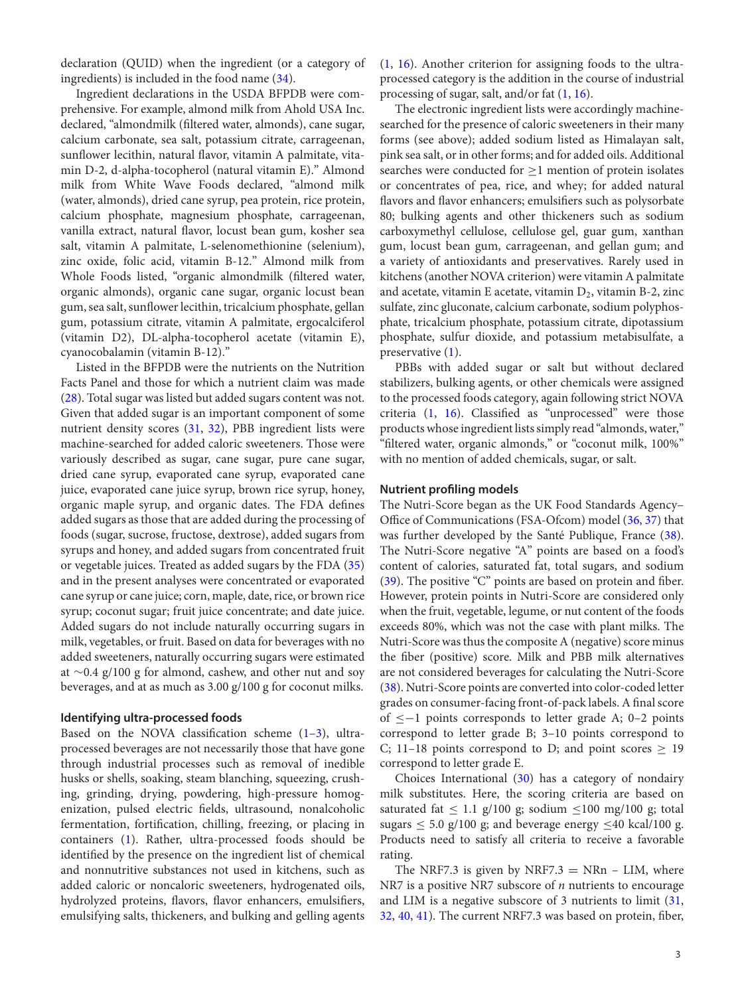declaration (QUID) when the ingredient (or a category of ingredients) is included in the food name [\(34\)](#page-7-0).

Ingredient declarations in the USDA BFPDB were comprehensive. For example, almond milk from Ahold USA Inc. declared, "almondmilk (filtered water, almonds), cane sugar, calcium carbonate, sea salt, potassium citrate, carrageenan, sunflower lecithin, natural flavor, vitamin A palmitate, vitamin D-2, d-alpha-tocopherol (natural vitamin E)." Almond milk from White Wave Foods declared, "almond milk (water, almonds), dried cane syrup, pea protein, rice protein, calcium phosphate, magnesium phosphate, carrageenan, vanilla extract, natural flavor, locust bean gum, kosher sea salt, vitamin A palmitate, L-selenomethionine (selenium), zinc oxide, folic acid, vitamin B-12." Almond milk from Whole Foods listed, "organic almondmilk (filtered water, organic almonds), organic cane sugar, organic locust bean gum, sea salt, sunflower lecithin, tricalcium phosphate, gellan gum, potassium citrate, vitamin A palmitate, ergocalciferol (vitamin D2), DL-alpha-tocopherol acetate (vitamin E), cyanocobalamin (vitamin B-12)."

Listed in the BFPDB were the nutrients on the Nutrition Facts Panel and those for which a nutrient claim was made [\(28\)](#page-6-20). Total sugar was listed but added sugars content was not. Given that added sugar is an important component of some nutrient density scores [\(31,](#page-6-23) [32\)](#page-6-24), PBB ingredient lists were machine-searched for added caloric sweeteners. Those were variously described as sugar, cane sugar, pure cane sugar, dried cane syrup, evaporated cane syrup, evaporated cane juice, evaporated cane juice syrup, brown rice syrup, honey, organic maple syrup, and organic dates. The FDA defines added sugars as those that are added during the processing of foods (sugar, sucrose, fructose, dextrose), added sugars from syrups and honey, and added sugars from concentrated fruit or vegetable juices. Treated as added sugars by the FDA [\(35\)](#page-7-1) and in the present analyses were concentrated or evaporated cane syrup or cane juice; corn, maple, date, rice, or brown rice syrup; coconut sugar; fruit juice concentrate; and date juice. Added sugars do not include naturally occurring sugars in milk, vegetables, or fruit. Based on data for beverages with no added sweeteners, naturally occurring sugars were estimated at ∼0.4 g/100 g for almond, cashew, and other nut and soy beverages, and at as much as 3.00 g/100 g for coconut milks.

#### **Identifying ultra-processed foods**

Based on the NOVA classification scheme  $(1-3)$ , ultraprocessed beverages are not necessarily those that have gone through industrial processes such as removal of inedible husks or shells, soaking, steam blanching, squeezing, crushing, grinding, drying, powdering, high-pressure homogenization, pulsed electric fields, ultrasound, nonalcoholic fermentation, fortification, chilling, freezing, or placing in containers [\(1\)](#page-6-0). Rather, ultra-processed foods should be identified by the presence on the ingredient list of chemical and nonnutritive substances not used in kitchens, such as added caloric or noncaloric sweeteners, hydrogenated oils, hydrolyzed proteins, flavors, flavor enhancers, emulsifiers, emulsifying salts, thickeners, and bulking and gelling agents

[\(1,](#page-6-0) [16\)](#page-6-11). Another criterion for assigning foods to the ultraprocessed category is the addition in the course of industrial processing of sugar, salt, and/or fat [\(1,](#page-6-0) [16\)](#page-6-11).

The electronic ingredient lists were accordingly machinesearched for the presence of caloric sweeteners in their many forms (see above); added sodium listed as Himalayan salt, pink sea salt, or in other forms; and for added oils. Additional searches were conducted for  $\geq$ 1 mention of protein isolates or concentrates of pea, rice, and whey; for added natural flavors and flavor enhancers; emulsifiers such as polysorbate 80; bulking agents and other thickeners such as sodium carboxymethyl cellulose, cellulose gel, guar gum, xanthan gum, locust bean gum, carrageenan, and gellan gum; and a variety of antioxidants and preservatives. Rarely used in kitchens (another NOVA criterion) were vitamin A palmitate and acetate, vitamin E acetate, vitamin  $D_2$ , vitamin B-2, zinc sulfate, zinc gluconate, calcium carbonate, sodium polyphosphate, tricalcium phosphate, potassium citrate, dipotassium phosphate, sulfur dioxide, and potassium metabisulfate, a preservative [\(1\)](#page-6-0).

PBBs with added sugar or salt but without declared stabilizers, bulking agents, or other chemicals were assigned to the processed foods category, again following strict NOVA criteria [\(1,](#page-6-0) [16\)](#page-6-11). Classified as "unprocessed" were those products whose ingredient lists simply read "almonds, water," "filtered water, organic almonds," or "coconut milk, 100%" with no mention of added chemicals, sugar, or salt.

#### **Nutrient profiling models**

The Nutri-Score began as the UK Food Standards Agency– Office of Communications (FSA-Ofcom) model [\(36,](#page-7-2) [37\)](#page-7-3) that was further developed by the Santé Publique, France [\(38\)](#page-7-4). The Nutri-Score negative "A" points are based on a food's content of calories, saturated fat, total sugars, and sodium [\(39\)](#page-7-5). The positive "C" points are based on protein and fiber. However, protein points in Nutri-Score are considered only when the fruit, vegetable, legume, or nut content of the foods exceeds 80%, which was not the case with plant milks. The Nutri-Score was thus the composite A (negative) score minus the fiber (positive) score. Milk and PBB milk alternatives are not considered beverages for calculating the Nutri-Score [\(38\)](#page-7-4). Nutri-Score points are converted into color-coded letter grades on consumer-facing front-of-pack labels. A final score of ≤−1 points corresponds to letter grade A; 0–2 points correspond to letter grade B; 3–10 points correspond to C; 11–18 points correspond to D; and point scores  $\geq$  19 correspond to letter grade E.

Choices International [\(30\)](#page-6-22) has a category of nondairy milk substitutes. Here, the scoring criteria are based on saturated fat  $\leq 1.1$  g/100 g; sodium  $\leq 100$  mg/100 g; total sugars  $\leq 5.0$  g/100 g; and beverage energy  $\leq 40$  kcal/100 g. Products need to satisfy all criteria to receive a favorable rating.

The NRF7.3 is given by NRF7.3 = NRn – LIM, where NR7 is a positive NR7 subscore of *n* nutrients to encourage and LIM is a negative subscore of 3 nutrients to limit [\(31,](#page-6-23) [32,](#page-6-24) [40,](#page-7-6) [41\)](#page-7-7). The current NRF7.3 was based on protein, fiber,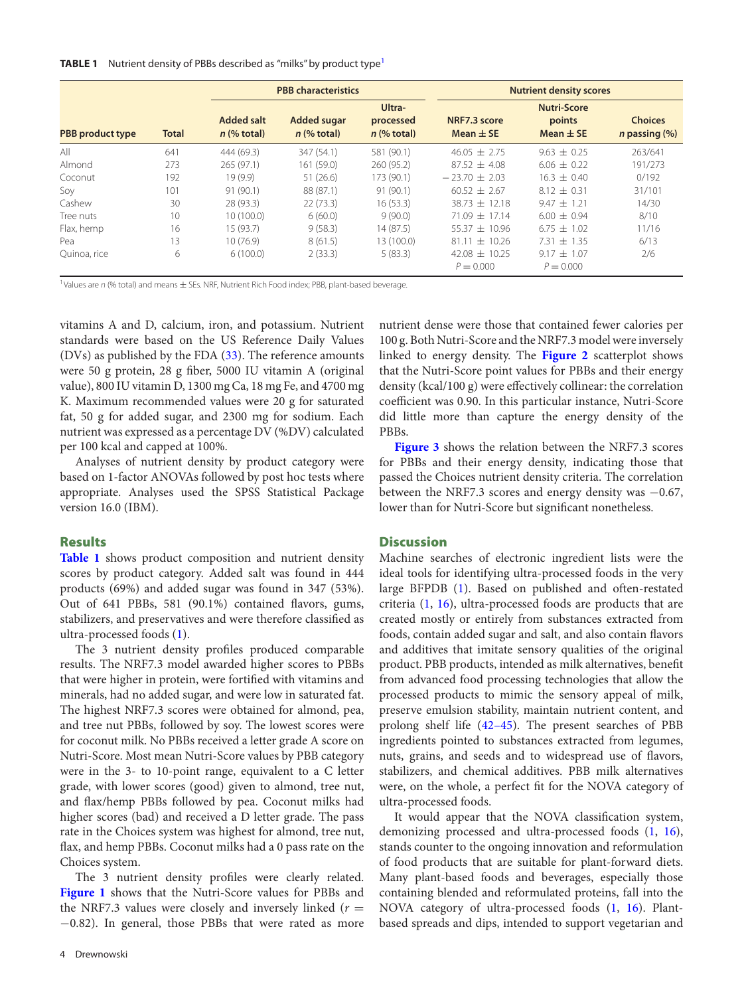#### <span id="page-3-1"></span>**TABLE [1](#page-3-0)** Nutrient density of PBBs described as "milks" by product type<sup>1</sup>

|                         |              | <b>PBB characteristics</b>         |                                     |                                      | <b>Nutrient density scores</b>   |                                               |                                           |
|-------------------------|--------------|------------------------------------|-------------------------------------|--------------------------------------|----------------------------------|-----------------------------------------------|-------------------------------------------|
| <b>PBB</b> product type | <b>Total</b> | <b>Added salt</b><br>$n$ (% total) | <b>Added sugar</b><br>$n$ (% total) | Ultra-<br>processed<br>$n$ (% total) | NRF7.3 score<br>Mean $\pm$ SE    | <b>Nutri-Score</b><br>points<br>Mean $\pm$ SE | <b>Choices</b><br><i>n</i> passing $(\%)$ |
| All                     | 641          | 444 (69.3)                         | 347 (54.1)                          | 581 (90.1)                           | $46.05 + 2.75$                   | $9.63 \pm 0.25$                               | 263/641                                   |
| Almond                  | 273          | 265 (97.1)                         | 161 (59.0)                          | 260(95.2)                            | $87.52 + 4.08$                   | $6.06 \pm 0.22$                               | 191/273                                   |
| Coconut                 | 192          | 19(9.9)                            | 51(26.6)                            | 173 (90.1)                           | $-23.70 + 2.03$                  | $16.3 \pm 0.40$                               | 0/192                                     |
| Soy                     | 101          | 91(90.1)                           | 88 (87.1)                           | 91(90.1)                             | $60.52 \pm 2.67$                 | $8.12 \pm 0.31$                               | 31/101                                    |
| Cashew                  | 30           | 28 (93.3)                          | 22(73.3)                            | 16(53.3)                             | $38.73 \pm 12.18$                | $9.47 \pm 1.21$                               | 14/30                                     |
| Tree nuts               | 10           | 10(100.0)                          | 6(60.0)                             | 9(90.0)                              | $71.09 + 17.14$                  | $6.00 \pm 0.94$                               | 8/10                                      |
| Flax, hemp              | 16           | 15(93.7)                           | 9(58.3)                             | 14(87.5)                             | $55.37 + 10.96$                  | $6.75 \pm 1.02$                               | 11/16                                     |
| Pea                     | 13           | 10(76.9)                           | 8(61.5)                             | 13 (100.0)                           | $81.11 \pm 10.26$                | $7.31 \pm 1.35$                               | 6/13                                      |
| Quinoa, rice            | 6            | 6(100.0)                           | 2(33.3)                             | 5(83.3)                              | $42.08 \pm 10.25$<br>$P = 0.000$ | $9.17 \pm 1.07$<br>$P = 0.000$                | 2/6                                       |

<span id="page-3-0"></span><sup>1</sup>Values are  $n$  (% total) and means  $\pm$  SEs. NRF, Nutrient Rich Food index; PBB, plant-based beverage.

vitamins A and D, calcium, iron, and potassium. Nutrient standards were based on the US Reference Daily Values (DVs) as published by the FDA [\(33\)](#page-6-25). The reference amounts were 50 g protein, 28 g fiber, 5000 IU vitamin A (original value), 800 IU vitamin D, 1300 mg Ca, 18 mg Fe, and 4700 mg K. Maximum recommended values were 20 g for saturated fat, 50 g for added sugar, and 2300 mg for sodium. Each nutrient was expressed as a percentage DV (%DV) calculated per 100 kcal and capped at 100%.

Analyses of nutrient density by product category were based on 1-factor ANOVAs followed by post hoc tests where appropriate. Analyses used the SPSS Statistical Package version 16.0 (IBM).

## **Results**

**[Table 1](#page-3-1)** shows product composition and nutrient density scores by product category. Added salt was found in 444 products (69%) and added sugar was found in 347 (53%). Out of 641 PBBs, 581 (90.1%) contained flavors, gums, stabilizers, and preservatives and were therefore classified as ultra-processed foods [\(1\)](#page-6-0).

The 3 nutrient density profiles produced comparable results. The NRF7.3 model awarded higher scores to PBBs that were higher in protein, were fortified with vitamins and minerals, had no added sugar, and were low in saturated fat. The highest NRF7.3 scores were obtained for almond, pea, and tree nut PBBs, followed by soy. The lowest scores were for coconut milk. No PBBs received a letter grade A score on Nutri-Score. Most mean Nutri-Score values by PBB category were in the 3- to 10-point range, equivalent to a C letter grade, with lower scores (good) given to almond, tree nut, and flax/hemp PBBs followed by pea. Coconut milks had higher scores (bad) and received a D letter grade. The pass rate in the Choices system was highest for almond, tree nut, flax, and hemp PBBs. Coconut milks had a 0 pass rate on the Choices system.

The 3 nutrient density profiles were clearly related. **[Figure 1](#page-4-0)** shows that the Nutri-Score values for PBBs and the NRF7.3 values were closely and inversely linked  $(r =$ −0.82). In general, those PBBs that were rated as more

nutrient dense were those that contained fewer calories per 100 g. Both Nutri-Score and the NRF7.3 model were inversely linked to energy density. The **[Figure 2](#page-4-1)** scatterplot shows that the Nutri-Score point values for PBBs and their energy density (kcal/100 g) were effectively collinear: the correlation coefficient was 0.90. In this particular instance, Nutri-Score did little more than capture the energy density of the PBBs.

**[Figure 3](#page-5-0)** shows the relation between the NRF7.3 scores for PBBs and their energy density, indicating those that passed the Choices nutrient density criteria. The correlation between the NRF7.3 scores and energy density was −0.67, lower than for Nutri-Score but significant nonetheless.

### **Discussion**

Machine searches of electronic ingredient lists were the ideal tools for identifying ultra-processed foods in the very large BFPDB [\(1\)](#page-6-0). Based on published and often-restated criteria [\(1,](#page-6-0) [16\)](#page-6-11), ultra-processed foods are products that are created mostly or entirely from substances extracted from foods, contain added sugar and salt, and also contain flavors and additives that imitate sensory qualities of the original product. PBB products, intended as milk alternatives, benefit from advanced food processing technologies that allow the processed products to mimic the sensory appeal of milk, preserve emulsion stability, maintain nutrient content, and prolong shelf life [\(42–45\)](#page-7-8). The present searches of PBB ingredients pointed to substances extracted from legumes, nuts, grains, and seeds and to widespread use of flavors, stabilizers, and chemical additives. PBB milk alternatives were, on the whole, a perfect fit for the NOVA category of ultra-processed foods.

It would appear that the NOVA classification system, demonizing processed and ultra-processed foods [\(1,](#page-6-0) [16\)](#page-6-11), stands counter to the ongoing innovation and reformulation of food products that are suitable for plant-forward diets. Many plant-based foods and beverages, especially those containing blended and reformulated proteins, fall into the NOVA category of ultra-processed foods [\(1,](#page-6-0) [16\)](#page-6-11). Plantbased spreads and dips, intended to support vegetarian and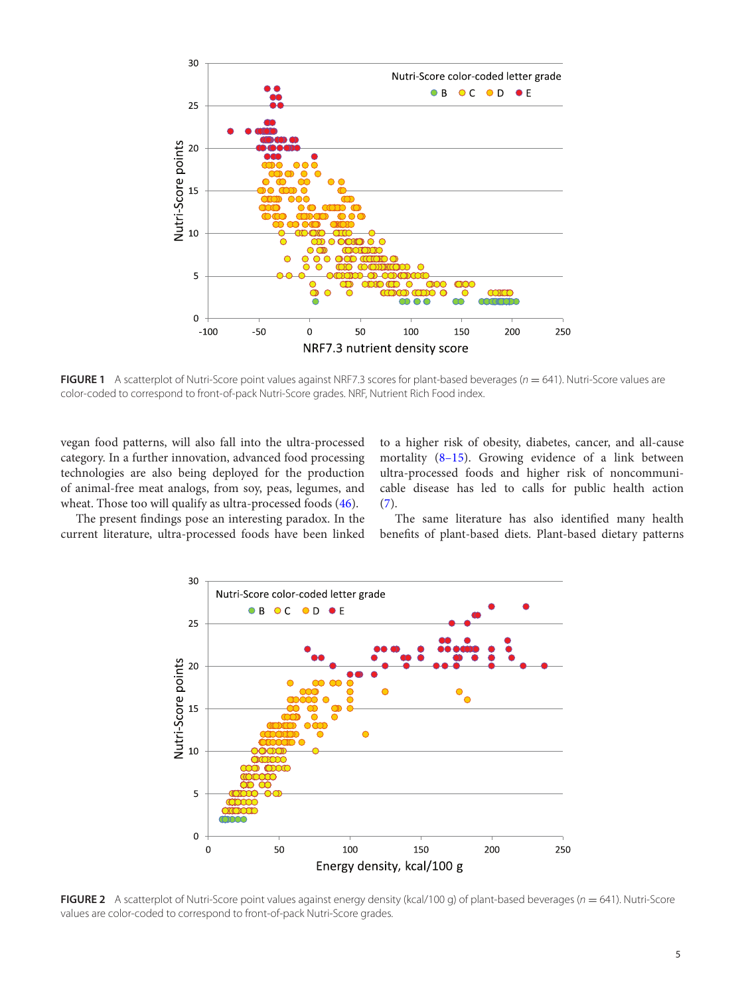<span id="page-4-0"></span>

**FIGURE 1** A scatterplot of Nutri-Score point values against NRF7.3 scores for plant-based beverages ( $n = 641$ ). Nutri-Score values are color-coded to correspond to front-of-pack Nutri-Score grades. NRF, Nutrient Rich Food index.

vegan food patterns, will also fall into the ultra-processed category. In a further innovation, advanced food processing technologies are also being deployed for the production of animal-free meat analogs, from soy, peas, legumes, and wheat. Those too will qualify as ultra-processed foods [\(46\)](#page-7-9).

to a higher risk of obesity, diabetes, cancer, and all-cause mortality [\(8–15\)](#page-6-3). Growing evidence of a link between ultra-processed foods and higher risk of noncommunicable disease has led to calls for public health action [\(7\)](#page-6-2).

<span id="page-4-1"></span>The present findings pose an interesting paradox. In the current literature, ultra-processed foods have been linked

The same literature has also identified many health benefits of plant-based diets. Plant-based dietary patterns



**FIGURE 2** A scatterplot of Nutri-Score point values against energy density (kcal/100 g) of plant-based beverages (n = 641). Nutri-Score values are color-coded to correspond to front-of-pack Nutri-Score grades.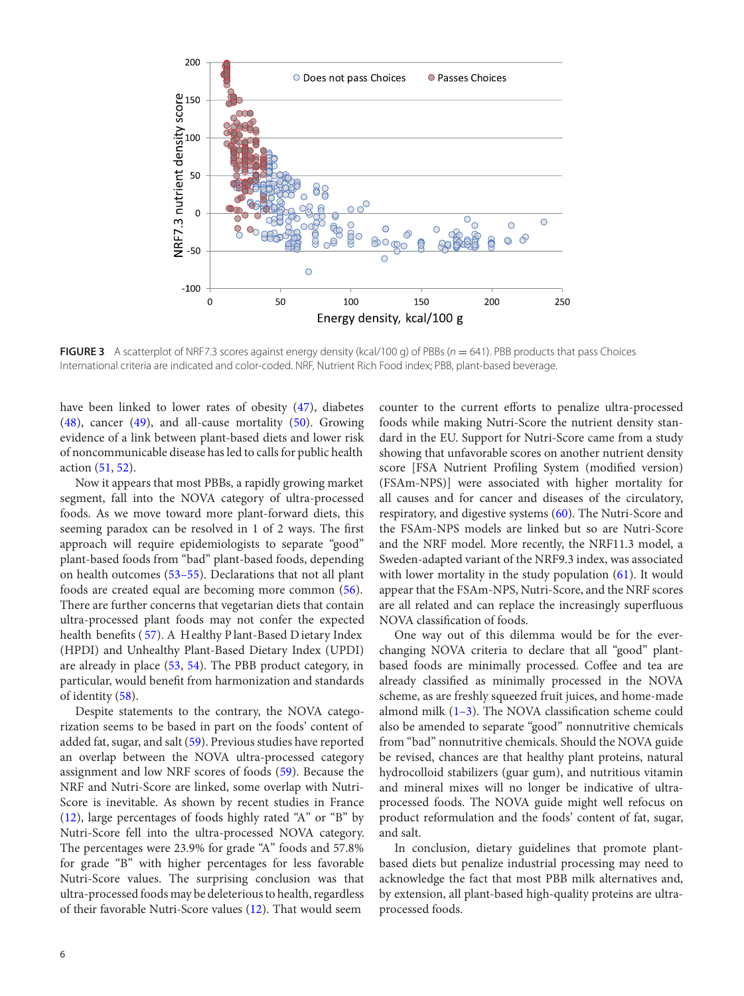<span id="page-5-0"></span>

**FIGURE 3** A scatterplot of NRF7.3 scores against energy density (kcal/100 g) of PBBs ( $n = 641$ ). PBB products that pass Choices International criteria are indicated and color-coded. NRF, Nutrient Rich Food index; PBB, plant-based beverage.

have been linked to lower rates of obesity [\(47\),](#page-7-10) diabetes [\(48\),](#page-7-11) cancer [\(49\)](#page-7-12), and all-cause mortality [\(50\).](#page-7-13) Growing evidence of a link between plant-based diets and lower risk of noncommunicable disease hasled to callsfor public health action [\(51,](#page-7-14) [52\).](#page-7-15)

Now it appears that most PBBs, a rapidly growing market segment, fall into the NOVA category of ultra-processed foods. As we move toward more plant-forward diets, this seeming paradox can be resolved in 1 of 2 ways. The first approach will require epidemiologists to separate "good" plant-based foods from "bad" plant-based foods, depending on health outcomes [\(53–55\)](#page-7-16). Declarations that not all plant foods are created equal are becoming more common [\(56\)](#page-7-17). There are further concerns that vegetarian diets that contain ultra-processed plant foods may not confer the expected health benefits ( [57\).](#page-7-18) A H ealthy P lant-Based D ietary Index (HPDI) and Unhealthy Plant-Based Dietary Index (UPDI) are already in place [\(53,](#page-7-16) [54\)](#page-7-19). The PBB product category, in particular, would benefit from harmonization and standards of identity [\(58\).](#page-7-20)

Despite statements to the contrary, the NOVA categorization seems to be based in part on the foods' content of added fat, sugar, and salt [\(59\).](#page-7-21) Previous studies have reported an overlap between the NOVA ultra-processed category assignment and low NRF scores of foods [\(59\)](#page-7-21). Because the NRF and Nutri-Score are linked, some overlap with Nutri-Score is inevitable. As shown by recent studies in France [\(12\),](#page-6-7) large percentages of foods highly rated "A" or "B" by Nutri-Score fell into the ultra-processed NOVA category. The percentages were 23.9% for grade "A" foods and 57.8% for grade "B" with higher percentages for less favorable Nutri-Score values. The surprising conclusion was that ultra-processed foods may be deleterious to health, regardless of their favorable Nutri-Score values [\(12\).](#page-6-7) That would seem

counter to the current efforts to penalize ultra-processed foods while making Nutri-Score the nutrient density standard in the EU. Support for Nutri-Score came from a study showing that unfavorable scores on another nutrient density score [FSA Nutrient Profiling System (modified version) (FSAm-NPS)] were associated with higher mortality for all causes and for cancer and diseases of the circulatory, respiratory, and digestive systems [\(60\)](#page-7-22). The Nutri-Score and the FSAm-NPS models are linked but so are Nutri-Score and the NRF model. More recently, the NRF11.3 model, a Sweden-adapted variant of the NRF9.3 index, was associated with lower mortality in the study population [\(61\)](#page-7-23). It would appear that the FSAm-NPS, Nutri-Score, and the NRF scores are all related and can replace the increasingly superfluous NOVA classification of foods.

One way out of this dilemma would be for the everchanging NOVA criteria to declare that all "good" plantbased foods are minimally processed. Coffee and tea are already classified as minimally processed in the NOVA scheme, as are freshly squeezed fruit juices, and home-made almond milk  $(1-3)$ . The NOVA classification scheme could also be amended to separate "good" nonnutritive chemicals from "bad" nonnutritive chemicals. Should the NOVA guide be revised, chances are that healthy plant proteins, natural hydrocolloid stabilizers (guar gum), and nutritious vitamin and mineral mixes will no longer be indicative of ultraprocessed foods. The NOVA guide might well refocus on product reformulation and the foods' content of fat, sugar, and salt.

In conclusion, dietary guidelines that promote plantbased diets but penalize industrial processing may need to acknowledge the fact that most PBB milk alternatives and, by extension, all plant-based high-quality proteins are ultraprocessed foods.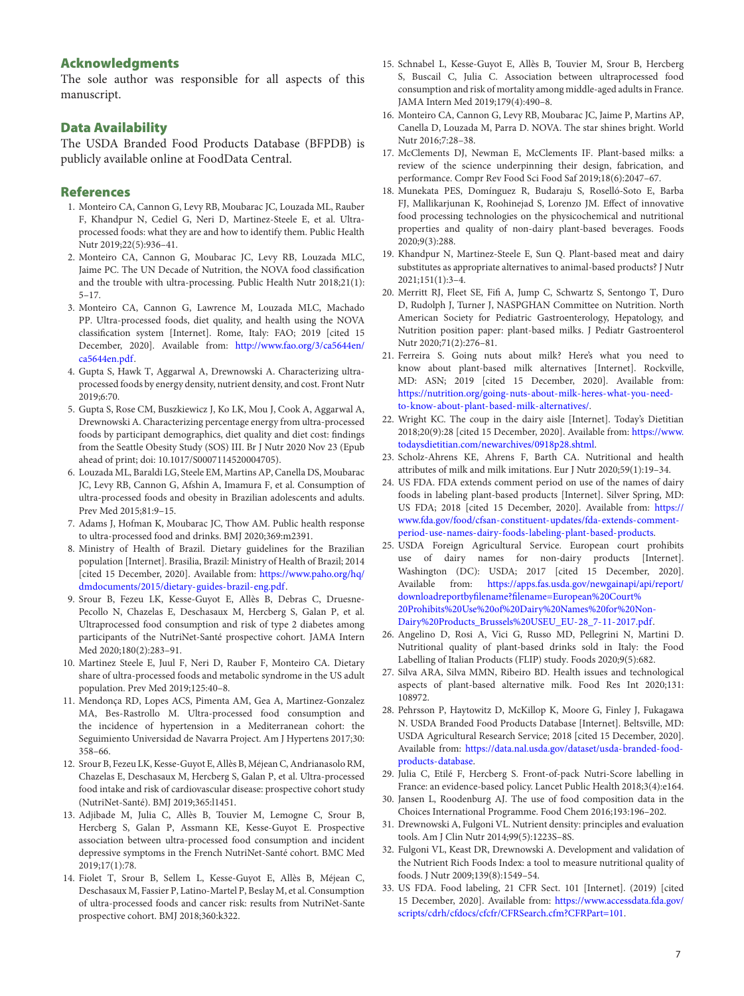# **Acknowledgments**

The sole author was responsible for all aspects of this manuscript.

## **Data Availability**

The USDA Branded Food Products Database (BFPDB) is publicly available online at FoodData Central.

#### **References**

- <span id="page-6-0"></span>1. Monteiro CA, Cannon G, Levy RB, Moubarac JC, Louzada ML, Rauber F, Khandpur N, Cediel G, Neri D, Martinez-Steele E, et al. Ultraprocessed foods: what they are and how to identify them. Public Health Nutr 2019;22(5):936–41.
- 2. Monteiro CA, Cannon G, Moubarac JC, Levy RB, Louzada MLC, Jaime PC. The UN Decade of Nutrition, the NOVA food classification and the trouble with ultra-processing. Public Health Nutr 2018;21(1): 5–17.
- 3. Monteiro CA, Cannon G, Lawrence M, Louzada MLC, Machado PP. Ultra-processed foods, diet quality, and health using the NOVA classification system [Internet]. Rome, Italy: FAO; 2019 [cited 15 [December, 2020\]. Available from:](http://www.fao.org/3/ca5644en/ca5644en.pdf) http://www.fao.org/3/ca5644en/ ca5644en.pdf.
- 4. Gupta S, Hawk T, Aggarwal A, Drewnowski A. Characterizing ultraprocessed foods by energy density, nutrient density, and cost. Front Nutr 2019;6:70.
- 5. Gupta S, Rose CM, Buszkiewicz J, Ko LK, Mou J, Cook A, Aggarwal A, Drewnowski A. Characterizing percentage energy from ultra-processed foods by participant demographics, diet quality and diet cost: findings from the Seattle Obesity Study (SOS) III. Br J Nutr 2020 Nov 23 (Epub ahead of print; doi: 10.1017/S0007114520004705).
- <span id="page-6-1"></span>6. Louzada ML, Baraldi LG, Steele EM, Martins AP, Canella DS, Moubarac JC, Levy RB, Cannon G, Afshin A, Imamura F, et al. Consumption of ultra-processed foods and obesity in Brazilian adolescents and adults. Prev Med 2015;81:9–15.
- <span id="page-6-2"></span>7. Adams J, Hofman K, Moubarac JC, Thow AM. Public health response to ultra-processed food and drinks. BMJ 2020;369:m2391.
- <span id="page-6-3"></span>8. Ministry of Health of Brazil. Dietary guidelines for the Brazilian population [Internet]. Brasilia, Brazil: Ministry of Health of Brazil; 2014 [cited 15 December, 2020]. Available from: https://www.paho.org/hq/ [dmdocuments/2015/dietary-guides-brazil-eng.pdf.](https://www.paho.org/hq/dmdocuments/2015/dietary-guides-brazil-eng.pdf)
- <span id="page-6-4"></span>9. Srour B, Fezeu LK, Kesse-Guyot E, Allès B, Debras C, Druesne-Pecollo N, Chazelas E, Deschasaux M, Hercberg S, Galan P, et al. Ultraprocessed food consumption and risk of type 2 diabetes among participants of the NutriNet-Santé prospective cohort. JAMA Intern Med 2020;180(2):283–91.
- <span id="page-6-5"></span>10. Martinez Steele E, Juul F, Neri D, Rauber F, Monteiro CA. Dietary share of ultra-processed foods and metabolic syndrome in the US adult population. Prev Med 2019;125:40–8.
- <span id="page-6-6"></span>11. Mendonça RD, Lopes ACS, Pimenta AM, Gea A, Martinez-Gonzalez MA, Bes-Rastrollo M. Ultra-processed food consumption and the incidence of hypertension in a Mediterranean cohort: the Seguimiento Universidad de Navarra Project. Am J Hypertens 2017;30: 358–66.
- <span id="page-6-7"></span>12. Srour B, Fezeu LK, Kesse-Guyot E, Allès B, Méjean C, Andrianasolo RM, Chazelas E, Deschasaux M, Hercberg S, Galan P, et al. Ultra-processed food intake and risk of cardiovascular disease: prospective cohort study (NutriNet-Santé). BMJ 2019;365:l1451.
- <span id="page-6-8"></span>13. Adjibade M, Julia C, Allès B, Touvier M, Lemogne C, Srour B, Hercberg S, Galan P, Assmann KE, Kesse-Guyot E. Prospective association between ultra-processed food consumption and incident depressive symptoms in the French NutriNet-Santé cohort. BMC Med 2019;17(1):78.
- <span id="page-6-9"></span>14. Fiolet T, Srour B, Sellem L, Kesse-Guyot E, Allès B, Méjean C, Deschasaux M, Fassier P, Latino-Martel P, Beslay M, et al. Consumption of ultra-processed foods and cancer risk: results from NutriNet-Sante prospective cohort. BMJ 2018;360:k322.
- <span id="page-6-10"></span>15. Schnabel L, Kesse-Guyot E, Allès B, Touvier M, Srour B, Hercberg S, Buscail C, Julia C. Association between ultraprocessed food consumption and risk of mortality among middle-aged adults in France. JAMA Intern Med 2019;179(4):490–8.
- <span id="page-6-11"></span>16. Monteiro CA, Cannon G, Levy RB, Moubarac JC, Jaime P, Martins AP, Canella D, Louzada M, Parra D. NOVA. The star shines bright. World Nutr 2016;7:28–38.
- <span id="page-6-12"></span>17. McClements DJ, Newman E, McClements IF. Plant-based milks: a review of the science underpinning their design, fabrication, and performance. Compr Rev Food Sci Food Saf 2019;18(6):2047–67.
- <span id="page-6-17"></span>18. Munekata PES, Domínguez R, Budaraju S, Roselló-Soto E, Barba FJ, Mallikarjunan K, Roohinejad S, Lorenzo JM. Effect of innovative food processing technologies on the physicochemical and nutritional properties and quality of non-dairy plant-based beverages. Foods 2020;9(3):288.
- 19. Khandpur N, Martinez-Steele E, Sun Q. Plant-based meat and dairy substitutes as appropriate alternatives to animal-based products? J Nutr 2021;151(1):3–4.
- 20. Merritt RJ, Fleet SE, Fifi A, Jump C, Schwartz S, Sentongo T, Duro D, Rudolph J, Turner J, NASPGHAN Committee on Nutrition. North American Society for Pediatric Gastroenterology, Hepatology, and Nutrition position paper: plant-based milks. J Pediatr Gastroenterol Nutr 2020;71(2):276–81.
- <span id="page-6-13"></span>21. Ferreira S. Going nuts about milk? Here's what you need to know about plant-based milk alternatives [Internet]. Rockville, MD: ASN; 2019 [cited 15 December, 2020]. Available from: [https://nutrition.org/going-nuts-about-milk-heres-what-you-need](https://nutrition.org/going-nuts-about-milk-heres-what-you-need-to-know-about-plant-based-milk-alternatives/)to-know-about-plant-based-milk-alternatives/.
- <span id="page-6-14"></span>22. Wright KC. The coup in the dairy aisle [Internet]. Today's Dietitian [2018;20\(9\):28 \[cited 15 December, 2020\]. Available from:](https://www.todaysdietitian.com/newarchives/0918p28.shtml) https://www. todaysdietitian.com/newarchives/0918p28.shtml.
- 23. Scholz-Ahrens KE, Ahrens F, Barth CA. Nutritional and health attributes of milk and milk imitations. Eur J Nutr 2020;59(1):19–34.
- <span id="page-6-15"></span>24. US FDA. FDA extends comment period on use of the names of dairy foods in labeling plant-based products [Internet]. Silver Spring, MD: US FDA; 2018 [cited 15 December, 2020]. Available from: https:// [www.fda.gov/food/cfsan-constituent-updates/fda-extends-comment](https://www.fda.gov/food/cfsan-constituent-updates/fda-extends-comment-period-use-names-dairy-foods-labeling-plant-based-products)period-use-names-dairy-foods-labeling-plant-based-products.
- <span id="page-6-16"></span>25. USDA Foreign Agricultural Service. European court prohibits use of dairy names for non-dairy products [Internet]. Washington (DC): USDA; 2017 [cited 15 December, 2020]. Available from: https://apps.fas.usda.gov/newgainapi/api/report/ downloadreportbyfilename?filename=European%20Court% [20Prohibits%20Use%20of%20Dairy%20Names%20for%20Non-](https://apps.fas.usda.gov/newgainapi/api/report/downloadreportbyfilename?filename=European%20Court%20Prohibits%20Use%20of%20Dairy%20Names%20for%20Non-Dairy%20Products_Brussels%20USEU_EU-28_7-11-2017.pdf)Dairy%20Products\_Brussels%20USEU\_EU-28\_7-11-2017.pdf.
- <span id="page-6-18"></span>26. Angelino D, Rosi A, Vici G, Russo MD, Pellegrini N, Martini D. Nutritional quality of plant-based drinks sold in Italy: the Food Labelling of Italian Products (FLIP) study. Foods 2020;9(5):682.
- <span id="page-6-19"></span>27. Silva ARA, Silva MMN, Ribeiro BD. Health issues and technological aspects of plant-based alternative milk. Food Res Int 2020;131: 108972.
- <span id="page-6-20"></span>28. Pehrsson P, Haytowitz D, McKillop K, Moore G, Finley J, Fukagawa N. USDA Branded Food Products Database [Internet]. Beltsville, MD: USDA Agricultural Research Service; 2018 [cited 15 December, 2020]. Available from: [https://data.nal.usda.gov/dataset/usda-branded-food](https://data.nal.usda.gov/dataset/usda-branded-food-products-database)products-database.
- <span id="page-6-21"></span>29. Julia C, Etilé F, Hercberg S. Front-of-pack Nutri-Score labelling in France: an evidence-based policy. Lancet Public Health 2018;3(4):e164.
- <span id="page-6-22"></span>30. Jansen L, Roodenburg AJ. The use of food composition data in the Choices International Programme. Food Chem 2016;193:196–202.
- <span id="page-6-23"></span>31. Drewnowski A, Fulgoni VL. Nutrient density: principles and evaluation tools. Am J Clin Nutr 2014;99(5):1223S–8S.
- <span id="page-6-24"></span>32. Fulgoni VL, Keast DR, Drewnowski A. Development and validation of the Nutrient Rich Foods Index: a tool to measure nutritional quality of foods. J Nutr 2009;139(8):1549–54.
- <span id="page-6-25"></span>33. US FDA. Food labeling, 21 CFR Sect. 101 [Internet]. (2019) [cited 15 December, 2020]. Available from: https://www.accessdata.fda.gov/ [scripts/cdrh/cfdocs/cfcfr/CFRSearch.cfm?CFRPart=101.](https://www.accessdata.fda.gov/scripts/cdrh/cfdocs/cfcfr/CFRSearch.cfm?CFRPart=101)